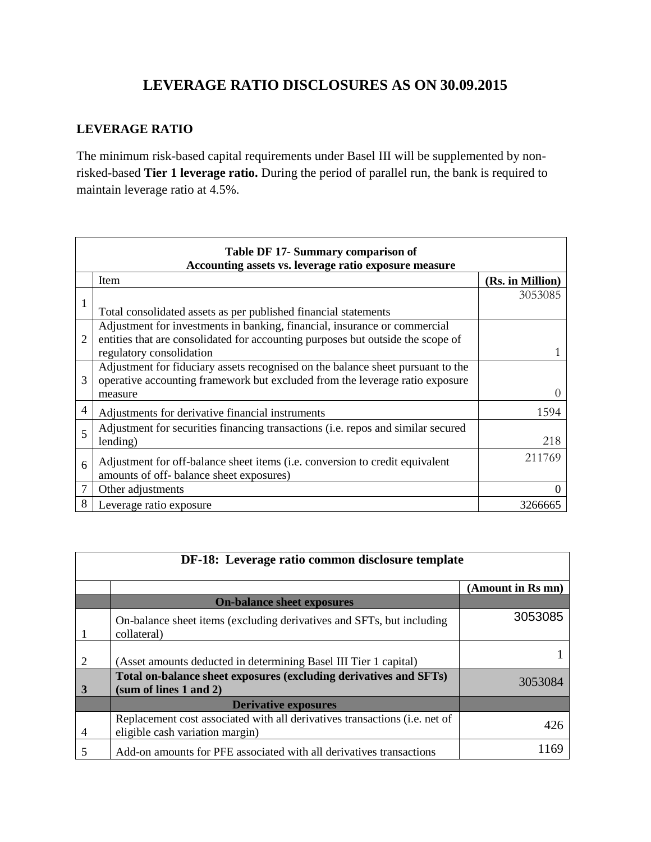## **LEVERAGE RATIO DISCLOSURES AS ON 30.09.2015**

## **LEVERAGE RATIO**

The minimum risk-based capital requirements under Basel III will be supplemented by nonrisked-based **Tier 1 leverage ratio.** During the period of parallel run, the bank is required to maintain leverage ratio at 4.5%.

| Table DF 17- Summary comparison of |                                                                                  |                  |  |  |
|------------------------------------|----------------------------------------------------------------------------------|------------------|--|--|
|                                    | Accounting assets vs. leverage ratio exposure measure                            |                  |  |  |
|                                    | Item                                                                             | (Rs. in Million) |  |  |
| 1                                  |                                                                                  | 3053085          |  |  |
|                                    | Total consolidated assets as per published financial statements                  |                  |  |  |
|                                    | Adjustment for investments in banking, financial, insurance or commercial        |                  |  |  |
| $\overline{2}$                     | entities that are consolidated for accounting purposes but outside the scope of  |                  |  |  |
|                                    | regulatory consolidation                                                         |                  |  |  |
|                                    | Adjustment for fiduciary assets recognised on the balance sheet pursuant to the  |                  |  |  |
| 3                                  | operative accounting framework but excluded from the leverage ratio exposure     |                  |  |  |
|                                    | measure                                                                          | $\left( \right)$ |  |  |
| $\overline{4}$                     | Adjustments for derivative financial instruments                                 | 1594             |  |  |
| 5                                  | Adjustment for securities financing transactions (i.e. repos and similar secured |                  |  |  |
|                                    | lending)                                                                         | 218              |  |  |
| 6                                  | Adjustment for off-balance sheet items (i.e. conversion to credit equivalent     | 211769           |  |  |
|                                    | amounts of off-balance sheet exposures)                                          |                  |  |  |
| 7                                  | Other adjustments                                                                |                  |  |  |
| 8                                  | Leverage ratio exposure                                                          | 3266665          |  |  |

| DF-18: Leverage ratio common disclosure template |                                                                                                               |                   |  |
|--------------------------------------------------|---------------------------------------------------------------------------------------------------------------|-------------------|--|
|                                                  |                                                                                                               | (Amount in Rs mn) |  |
|                                                  | <b>On-balance sheet exposures</b>                                                                             |                   |  |
|                                                  | On-balance sheet items (excluding derivatives and SFTs, but including<br>collateral)                          | 3053085           |  |
| 2                                                | (Asset amounts deducted in determining Basel III Tier 1 capital)                                              |                   |  |
| 3                                                | Total on-balance sheet exposures (excluding derivatives and SFTs)<br>(sum of lines $1$ and $2$ )              | 3053084           |  |
|                                                  | <b>Derivative exposures</b>                                                                                   |                   |  |
| $\overline{4}$                                   | Replacement cost associated with all derivatives transactions (i.e. net of<br>eligible cash variation margin) | 426               |  |
|                                                  | Add-on amounts for PFE associated with all derivatives transactions                                           | l 169             |  |